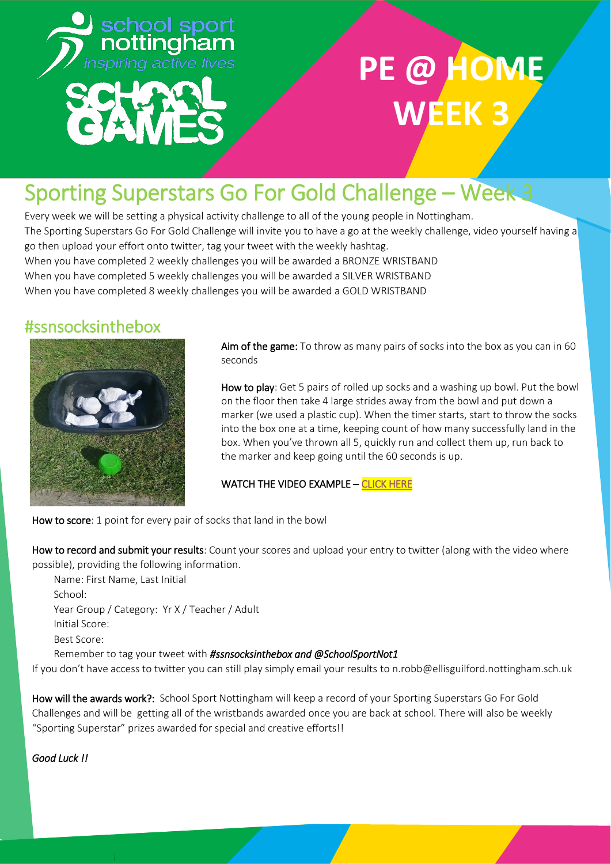

## **PE @ HOM WEEK 3**

## Sporting Superstars Go For Gold Challenge - Week 3

Every week we will be setting a physical activity challenge to all of the young people in Nottingham. The Sporting Superstars Go For Gold Challenge will invite you to have a go at the weekly challenge, video yourself having a go then upload your effort onto twitter, tag your tweet with the weekly hashtag. When you have completed 2 weekly challenges you will be awarded a BRONZE WRISTBAND When you have completed 5 weekly challenges you will be awarded a SILVER WRISTBAND When you have completed 8 weekly challenges you will be awarded a GOLD WRISTBAND

### #ssnsocksinthebox



Aim of the game: To throw as many pairs of socks into the box as you can in 60 seconds

How to play: Get 5 pairs of rolled up socks and a washing up bowl. Put the bowl on the floor then take 4 large strides away from the bowl and put down a marker (we used a plastic cup). When the timer starts, start to throw the socks into the box one at a time, keeping count of how many successfully land in the box. When you've thrown all 5, quickly run and collect them up, run back to the marker and keep going until the 60 seconds is up.

WATCH THE VIDEO EXAMPLE - CLICK HERE

How to score: 1 point for every pair of socks that land in the bowl

How to record and submit your results: Count your scores and upload your entry to twitter (along with the video where possible), providing the following information.

Name: First Name, Last Initial School: Year Group / Category: Yr X / Teacher / Adult Initial Score: Best Score: Remember to tag your tweet with *#ssnsocksinthebox and @SchoolSportNot1*

If you don't have access to twitter you can still play simply email your results to n.robb@ellisguilford.nottingham.sch.uk

How will the awards work?: School Sport Nottingham will keep a record of your Sporting Superstars Go For Gold Challenges and will be getting all of the wristbands awarded once you are back at school. There will also be weekly ͞Sporting Superstar͟ prizes awarded for special and creative efforts!!

*Good Luck !!*